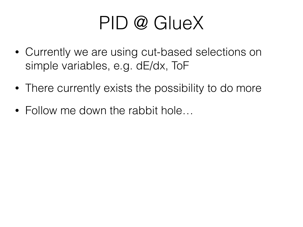#### PID @ GlueX

- Currently we are using cut-based selections on simple variables, e.g. dE/dx, ToF
- There currently exists the possibility to do more
- Follow me down the rabbit hole...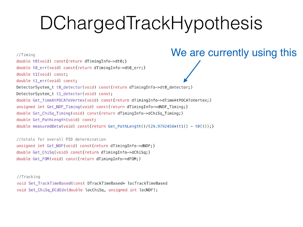//Timing

double t0(void) const{return dTimingInfo->dt0;} double t0 err(void) const{return dTimingInfo->dt0 err; } double t1(void) const; double t1\_err(void) const; DetectorSystem\_t\_t0\_detector(void) const{return dTimingInfo->dt0\_detector;} DetectorSystem t t1 detector(void) const; double Get TimeAtPOCAToVertex(void) const{return dTimingInfo->dTimeAtPOCAToVertex;} unsigned int Get NDF Timing(void) const{return dTimingInfo->dNDF Timing;} double Get ChiSq Timing(void) const{return dTimingInfo->dChiSq Timing; } double Get PathLength(void) const; double measuredBeta(void) const{return Get PathLength()/(29.9792458\*(t1() - t0()));}

//totals for overall PID determination unsigned int Get\_NDF(void) const{return dTimingInfo->dNDF; } double Get\_ChiSq(void) const{return dTimingInfo->dChiSq;} double Get\_FOM(void) const{return dTimingInfo->dFOM; }

//Tracking void Set TrackTimeBased(const DTrackTimeBased\* locTrackTimeBased void Set\_ChiSq\_DCdEdx(double locChiSq, unsigned int locNDF);

#### We are currently using this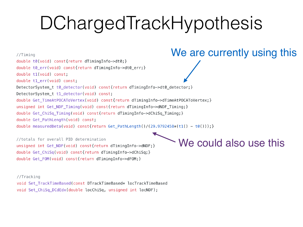//Timing

double t0(void) const{return dTimingInfo->dt0;} double t0 err(void) const{return dTimingInfo->dt0 err; } double t1(void) const: double t1\_err(void) const; DetectorSystem\_t\_t0\_detector(void) const{return dTimingInfo->dt0\_detector;} DetectorSystem t t1 detector(void) const; double Get TimeAtPOCAToVertex(void) const{return dTimingInfo->dTimeAtPOCAToVertex;} unsigned int Get NDF Timing(void) const{return dTimingInfo->dNDF Timing;} double Get ChiSq Timing(void) const{return dTimingInfo->dChiSq Timing; } double Get PathLength(void) const; double measuredBeta(void) const{return Get PathLength()/(29.9792458\*(t1() - t0()));}

//totals for overall PID determination unsigned int Get\_NDF(void) const{return dTimingInfo->dNDF; } double Get\_ChiSq(void) const{return dTimingInfo->dChiSq;} double Get\_FOM(void) const{return dTimingInfo->dFOM; }

//Tracking

void Set TrackTimeBased(const DTrackTimeBased\* locTrackTimeBased void Set\_ChiSq\_DCdEdx(double locChiSq, unsigned int locNDF);

We could also use this

#### We are currently using this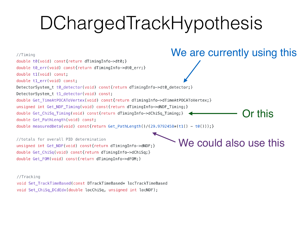

//totals for overall PID determination unsigned int Get\_NDF(void) const{return dTimingInfo->dNDF; } double Get\_ChiSq(void) const{return dTimingInfo->dChiSq;} double Get\_FOM(void) const{return dTimingInfo->dFOM; }

We could also use this

//Tracking

void Set TrackTimeBased(const DTrackTimeBased\* locTrackTimeBased void Set\_ChiSq\_DCdEdx(double locChiSq, unsigned int locNDF);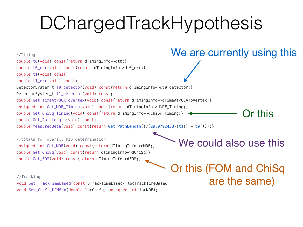

void Set\_ChiSq\_DCdEdx(double locChiSq, unsigned int locNDF);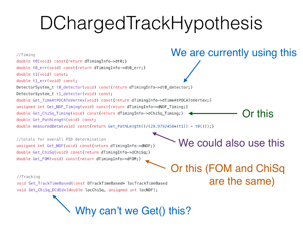

Why can't we Get() this?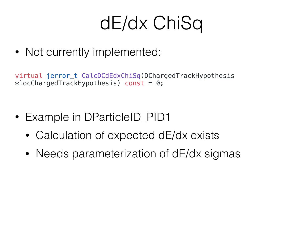#### dE/dx ChiSq

• Not currently implemented:

virtual jerror\_t CalcDCdEdxChiSq(DChargedTrackHypothesis  $*locChargedTrackHypothesis)$  const = 0;

- Example in DParticleID\_PID1
	- Calculation of expected dE/dx exists
	- Needs parameterization of dE/dx sigmas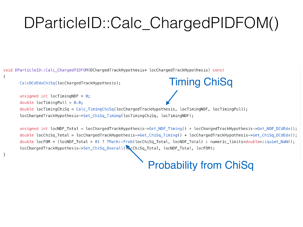#### DParticleID::Calc\_ChargedPIDFOM()

void DParticleID::Calc\_ChargedPIDFOM(DChargedTrackHypothesis\* locChargedTrackHypothesis) const

```
\{
```
 $\}$ 

CalcDCdEdxChiSq(locChargedTrackHypothesis);

unsigned int locTimingNDF =  $0$ ; double locTimingPull =  $0.0$ ; double locTimingChiSq =  $Calc_$ TimingChiSq(locChargedTrackHypothesis, locTimingNDF, locTimingPull); locChargedTrackHypothesis->Set\_ChiSq\_Timing(locTimingChiSq, locTimingNDF);

unsigned int locNDF Total = locChargedTrackHypothesis->Get NDF Timing() + locChargedTrackHypothesis->Get NDF DCdEdx(); double locChiSq Total = locChargedTrackHypothesis->Get ChiSq Timing() + locChargedTrackHypothesis->Get ChiSq DCdEdx(); double locFOM = (locNDF Total > 0) ? TMath::Prob(locChiSq Total, locNDF Total) : numeric limits<double>::quiet NaN(); locChargedTrackHypothesis->Set\_ChiSq\_Overall( acChiSq\_Total, locNDF\_Total, locFOM);

#### Probability from ChiSq

Timing ChiSq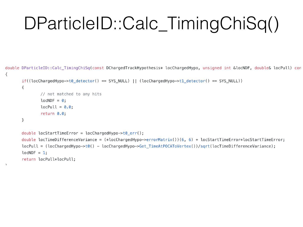#### DParticleID::Calc\_TimingChiSq()

double DParticleID::Calc\_TimingChiSq(const DChargedTrackHypothesis\* locChargedHypo, unsigned int &locNDF, double& locPull) con  $\{$ 

```
if((locChargedHypo -> t0detector)) == SYS_NULL) || (locChargedHypo -> t1detector)) == SYS_NULL)
```

```
// not matched to any hits
locNDF = 0;
locPull = 0.0;return 0.0;
```
 $\{$ 

}

 $\mathbf{I}$ 

```
double locStartTimeError = locChargedHypo\rightarrowt0_err();
double locTimeDifferenceVariance = (*locChargedHypo->errorMatrix())(6, 6) + locStartTimeError*locStartTimeError;
locPull = (locChargedHypo \rightarrow to() - locChargedHypo \rightarrow Get_TimeAtPOCAToVertex())/sqrt(locTimeDifferenceVariance);locNDF = 1;return locPull*locPull;
```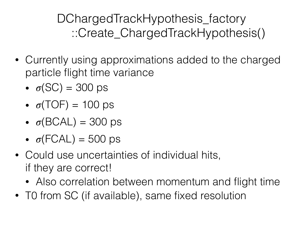DChargedTrackHypothesis\_factory ::Create\_ChargedTrackHypothesis()

- Currently using approximations added to the charged particle flight time variance
	- $\bullet$   $\sigma$ (SC) = 300 ps
	- $\sigma(TOF) = 100 \text{ ps}$
	- $\sigma(BCAL) = 300 \text{ ps}$
	- $\sigma$ (FCAL) = 500 ps
- Could use uncertainties of individual hits, if they are correct!
	- Also correlation between momentum and flight time
- TO from SC (if available), same fixed resolution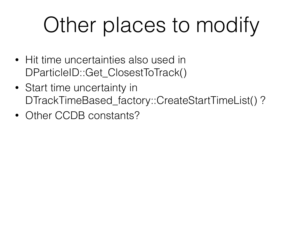# Other places to modify

- Hit time uncertainties also used in DParticleID::Get\_ClosestToTrack()
- Start time uncertainty in DTrackTimeBased\_factory::CreateStartTimeList()?
- Other CCDB constants?